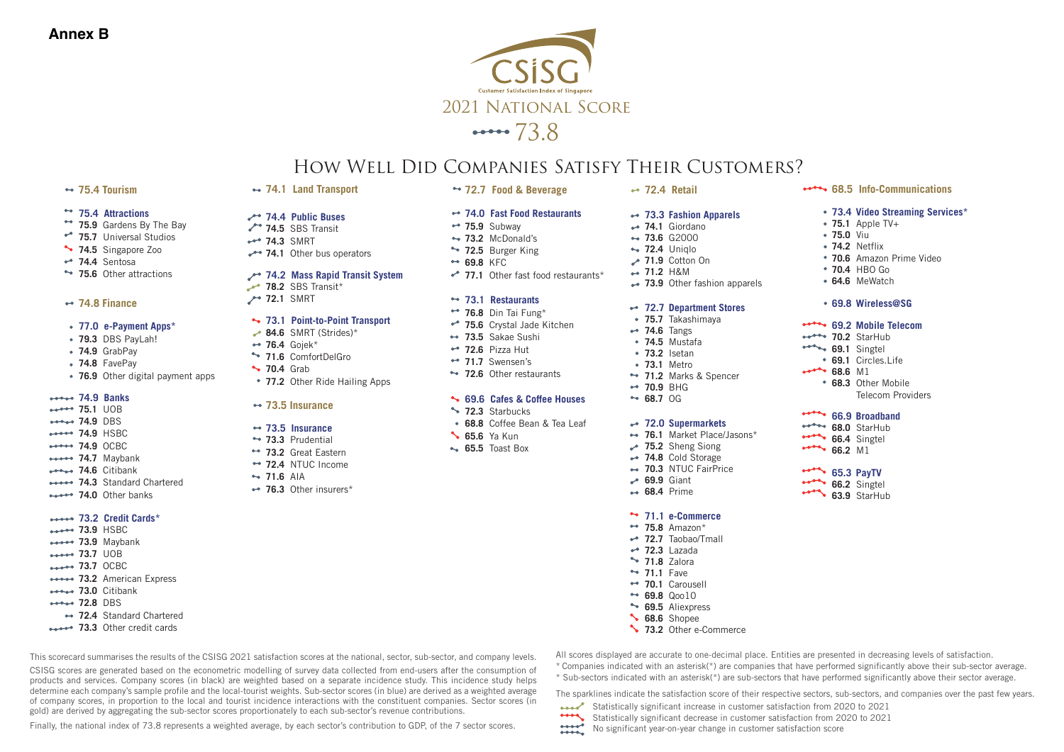

# How Well Did Companies Satisfy Their Customers?

#### **75.4 Tourism**

#### **75.4 Attractions**

- \*\* 75.9 Gardens By The Bay
- $*$  75.7 Universal Studios
- **74.5** Singapore Zoo
- **74.4** Sentosa
- **\*\* 75.6** Other attractions

#### **74.8 Finance**

- **77.0 e-Payment Apps\***
- **79.3** DBS PayLah!
- **74.9** GrabPay
- **74.8** FavePay
- **76.9** Other digital payment apps

#### **74.9 Banks**

**75.1** UOB **74.9** DBS **74.9** HSBC **74.9** OCBC \*\*\*\*\* 74.7 Maybank **74.6** Citibank **74.3** Standard Chartered

### *Andre* 74.0 Other banks **73.2 Credit Cards\***

- **73.9** HSBC
- **73.9** Maybank
- **73.7** UOB
- **73.7** OCBC
- **73.2** American Express
- **73.0** Citibank
- **72.8** DBS
- **72.4** Standard Chartered
- **\*\*\*\*\*** 73.3 Other credit cards
- 
- **74.4 Public Buses 74.5** SBS Transit
- 
- **74.3** SMRT

**74.1 Land Transport**

**74.1** Other bus operators

#### **74.2 Mass Rapid Transit System**

**78.2** SBS Transit\* **72.1** SMRT

#### **73.1 Point-to-Point Transport**

- **84.6** SMRT (Strides)\*
- **76.4** Gojek\*
- **71.6** ComfortDelGro
- **70.4** Grab
- **77.2** Other Ride Hailing Apps

#### **73.5 Insurance**

#### **73.5 Insurance**

- **73.3** Prudential
- **73.2** Great Eastern
- **72.4** NTUC Income
- **71.6** AIA
- **76.3** Other insurers\*
- **74.0 Fast Food Restaurants 75.9** Subway • 73.2 McDonald's
	- \*\* 72.5 Burger King

**72.7 Food & Beverage**

- **69.8** KFC
- •<sup>•</sup> 77.1 Other fast food restaurants<sup>\*</sup>

#### **73.1 Restaurants**

- **76.8** Din Tai Fung\*
- **75.6** Crystal Jade Kitchen
- **73.5** Sakae Sushi
- **72.6** Pizza Hut
- **71.7** Swensen's **\*\* 72.6** Other restaurants

#### **69.6 Cafes & Coffee Houses**

- **12.3** Starbucks
- **68.8** Coffee Bean & Tea Leaf
- **65.6** Ya Kun
- **65.5** Toast Box

## **72.4 Retail**

#### **73.3 Fashion Apparels**

- **74.1** Giordano
- **73.6** G2000 **72.4** Uniqlo
- **71.9** Cotton On
- **71.2** H&M
- **73.9** Other fashion apparels

#### **72.7 Department Stores**

- **75.7** Takashimaya
- **74.6** Tangs
- **74.5** Mustafa
- **73.2** Isetan
- **73.1** Metro
- **71.2** Marks & Spencer
- **70.9** BHG **68.7** OG
- 

#### **72.0 Supermarkets**

- **76.1** Market Place/Jasons\*
- **75.2** Sheng Siong
- **74.8** Cold Storage **70.3** NTUC FairPrice
- **69.9** Giant
- **68.4** Prime

#### **71.1 e-Commerce**

- \*\* 75.8 Amazon\*
- **72.7** Taobao/Tmall **72.3** Lazada
- **71.8** Zalora
- **71.1** Fave
- **70.1** Carousell
- **69.8** Qoo10
- **69.5** Aliexpress
- **68.6** Shopee
- **13.2** Other e-Commerce

Statistically significant increase in customer satisfaction from 2020 to 2021 **Statistically significant decrease in customer satisfaction from 2020 to 2021** 

No significant year-on-year change in customer satisfaction score

This scorecard summarises the results of the CSISG 2021 satisfaction scores at the national, sector, sub-sector, and company levels.

CSISG scores are generated based on the econometric modelling of survey data collected from end-users after the consumption of products and services. Company scores (in black) are weighted based on a separate incidence study. This incidence study helps determine each company's sample profile and the local-tourist weights. Sub-sector scores (in blue) are derived as a weighted average of company scores, in proportion to the local and tourist incidence interactions with the constituent companies. Sector scores (in gold) are derived by aggregating the sub-sector scores proportionately to each sub-sector's revenue contributions.

Finally, the national index of 73.8 represents a weighted average, by each sector's contribution to GDP, of the 7 sector scores.

All scores displayed are accurate to one-decimal place. Entities are presented in decreasing levels of satisfaction.

\* Companies indicated with an asterisk(\*) are companies that have performed significantly above their sub-sector average.  $*$  Sub-sectors indicated with an asterisk( $*$ ) are sub-sectors that have performed significantly above their sector average.

The sparklines indicate the satisfaction score of their respective sectors, sub-sectors, and companies over the past few years.

**68.5 Info-Communications**

**70.6** Amazon Prime Video

**75.1** Apple TV+ **75.0** Viu **74.2** Netflix

**70.4** HBO Go **64.6** MeWatch **69.8 Wireless@SG 69.2 Mobile Telecom 70.2** StarHub **69.1** Singtel **69.1** Circles.Life

**68.3** Other Mobile

**66.9 Broadband 68.0** StarHub **66.4** Singtel **66.2** M1 **65.3 PayTV 66.2** Singtel **63.9** StarHub

Telecom Providers

**68.6** M1

**73.4 Video Streaming Services\***